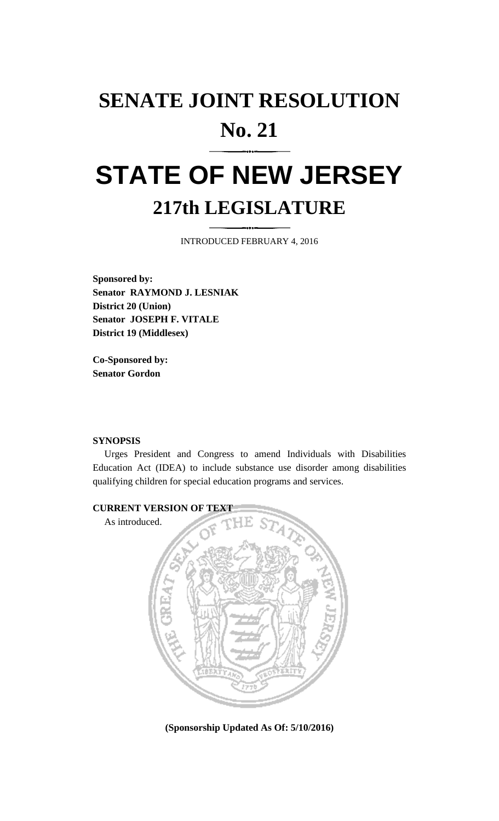## **SENATE JOINT RESOLUTION No. 21**

# **STATE OF NEW JERSEY 217th LEGISLATURE**

INTRODUCED FEBRUARY 4, 2016

**Sponsored by: Senator RAYMOND J. LESNIAK District 20 (Union) Senator JOSEPH F. VITALE District 19 (Middlesex)**

**Co-Sponsored by: Senator Gordon**

#### **SYNOPSIS**

Urges President and Congress to amend Individuals with Disabilities Education Act (IDEA) to include substance use disorder among disabilities qualifying children for special education programs and services.



**(Sponsorship Updated As Of: 5/10/2016)**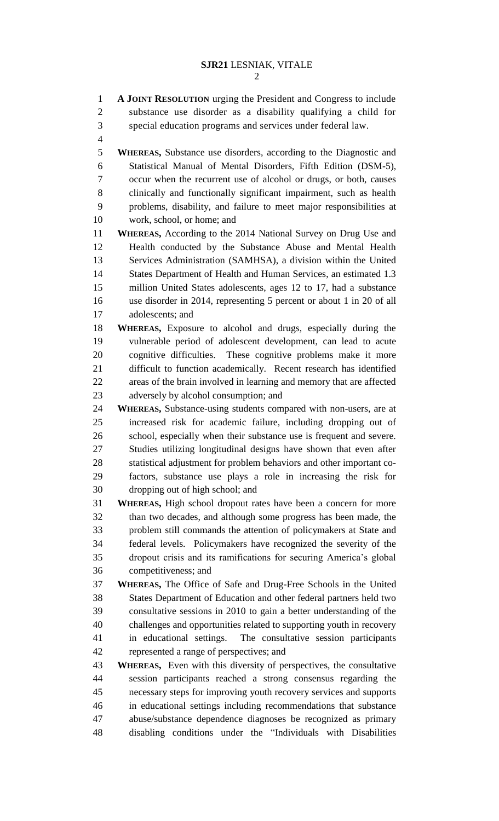**A JOINT RESOLUTION** urging the President and Congress to include substance use disorder as a disability qualifying a child for special education programs and services under federal law.

 **WHEREAS,** Substance use disorders, according to the Diagnostic and Statistical Manual of Mental Disorders, Fifth Edition (DSM-5), occur when the recurrent use of alcohol or drugs, or both, causes clinically and functionally significant impairment, such as health problems, disability, and failure to meet major responsibilities at work, school, or home; and

 **WHEREAS,** According to the 2014 National Survey on Drug Use and Health conducted by the Substance Abuse and Mental Health Services Administration (SAMHSA), a division within the United States Department of Health and Human Services, an estimated 1.3 million United States adolescents, ages 12 to 17, had a substance use disorder in 2014, representing 5 percent or about 1 in 20 of all adolescents; and

 **WHEREAS,** Exposure to alcohol and drugs, especially during the vulnerable period of adolescent development, can lead to acute cognitive difficulties. These cognitive problems make it more difficult to function academically. Recent research has identified areas of the brain involved in learning and memory that are affected adversely by alcohol consumption; and

 **WHEREAS,** Substance-using students compared with non-users, are at increased risk for academic failure, including dropping out of school, especially when their substance use is frequent and severe. Studies utilizing longitudinal designs have shown that even after statistical adjustment for problem behaviors and other important co- factors, substance use plays a role in increasing the risk for dropping out of high school; and

 **WHEREAS,** High school dropout rates have been a concern for more than two decades, and although some progress has been made, the problem still commands the attention of policymakers at State and federal levels. Policymakers have recognized the severity of the dropout crisis and its ramifications for securing America's global competitiveness; and

 **WHEREAS,** The Office of Safe and Drug-Free Schools in the United States Department of Education and other federal partners held two consultative sessions in 2010 to gain a better understanding of the challenges and opportunities related to supporting youth in recovery in educational settings. The consultative session participants represented a range of perspectives; and

 **WHEREAS,** Even with this diversity of perspectives, the consultative session participants reached a strong consensus regarding the necessary steps for improving youth recovery services and supports in educational settings including recommendations that substance abuse/substance dependence diagnoses be recognized as primary disabling conditions under the "Individuals with Disabilities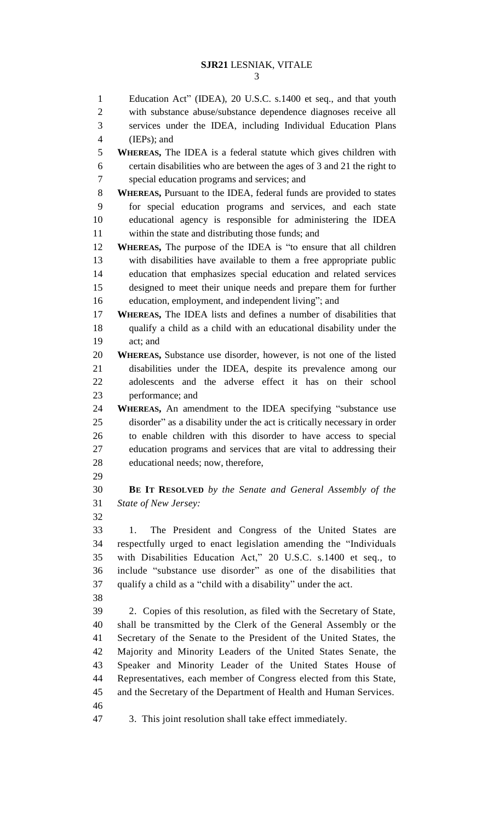### **SJR21** LESNIAK, VITALE

 Education Act" (IDEA), 20 U.S.C. s.1400 et seq., and that youth with substance abuse/substance dependence diagnoses receive all services under the IDEA, including Individual Education Plans (IEPs); and **WHEREAS,** The IDEA is a federal statute which gives children with certain disabilities who are between the ages of 3 and 21 the right to special education programs and services; and **WHEREAS,** Pursuant to the IDEA, federal funds are provided to states for special education programs and services, and each state educational agency is responsible for administering the IDEA within the state and distributing those funds; and **WHEREAS,** The purpose of the IDEA is "to ensure that all children with disabilities have available to them a free appropriate public education that emphasizes special education and related services designed to meet their unique needs and prepare them for further education, employment, and independent living"; and **WHEREAS,** The IDEA lists and defines a number of disabilities that qualify a child as a child with an educational disability under the act; and **WHEREAS,** Substance use disorder, however, is not one of the listed disabilities under the IDEA, despite its prevalence among our adolescents and the adverse effect it has on their school performance; and **WHEREAS,** An amendment to the IDEA specifying "substance use disorder" as a disability under the act is critically necessary in order to enable children with this disorder to have access to special education programs and services that are vital to addressing their educational needs; now, therefore, **BE IT RESOLVED** *by the Senate and General Assembly of the State of New Jersey:* 1. The President and Congress of the United States are respectfully urged to enact legislation amending the "Individuals with Disabilities Education Act," 20 U.S.C. s.1400 et seq., to include "substance use disorder" as one of the disabilities that qualify a child as a "child with a disability" under the act. 2. Copies of this resolution, as filed with the Secretary of State, shall be transmitted by the Clerk of the General Assembly or the Secretary of the Senate to the President of the United States, the Majority and Minority Leaders of the United States Senate, the Speaker and Minority Leader of the United States House of Representatives, each member of Congress elected from this State, and the Secretary of the Department of Health and Human Services. 3. This joint resolution shall take effect immediately.